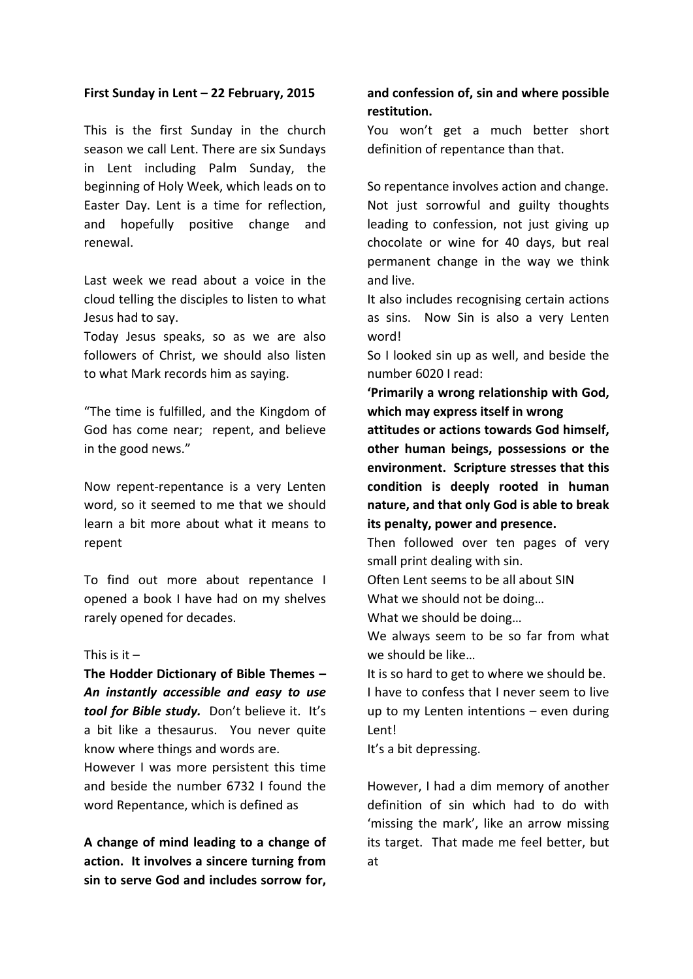## **First Sunday in Lent – 22 February, 2015**

This is the first Sunday in the church season we call Lent. There are six Sundays in Lent including Palm Sunday, the beginning of Holy Week, which leads on to Easter Day. Lent is a time for reflection, and hopefully positive change and renewal.

Last week we read about a voice in the cloud telling the disciples to listen to what Jesus had to say.

Today Jesus speaks, so as we are also followers of Christ, we should also listen to what Mark records him as saying.

"The time is fulfilled, and the Kingdom of God has come near: repent, and believe in the good news."

Now repent-repentance is a very Lenten word, so it seemed to me that we should learn a bit more about what it means to repent

To find out more about repentance I opened a book I have had on my shelves rarely opened for decades.

## This is it  $-$

The Hodder Dictionary of Bible Themes -*An instantly accessible and easy to use tool for Bible study.* Don't believe it. It's a bit like a thesaurus. You never quite know where things and words are.

However I was more persistent this time and beside the number 6732 I found the word Repentance, which is defined as

A change of mind leading to a change of action. It involves a sincere turning from sin to serve God and includes sorrow for,

## and confession of, sin and where possible restitution.

You won't get a much better short definition of repentance than that.

So repentance involves action and change. Not just sorrowful and guilty thoughts leading to confession, not just giving up chocolate or wine for 40 days, but real permanent change in the way we think and live. 

It also includes recognising certain actions as sins. Now Sin is also a very Lenten word!

So I looked sin up as well, and beside the number 6020 I read:

'Primarily a wrong relationship with God, **which may express itself in wrong** 

attitudes or actions towards God himself. other human beings, possessions or the **environment. Scripture stresses that this condition is deeply rooted in human**  nature, and that only God is able to break **its penalty, power and presence.** 

Then followed over ten pages of very small print dealing with sin.

Often Lent seems to be all about SIN What we should not be doing...

What we should be doing...

We always seem to be so far from what we should be like...

It is so hard to get to where we should be. I have to confess that I never seem to live up to my Lenten intentions  $-$  even during Lent!

It's a bit depressing.

However, I had a dim memory of another definition of sin which had to do with 'missing the mark', like an arrow missing its target. That made me feel better, but at